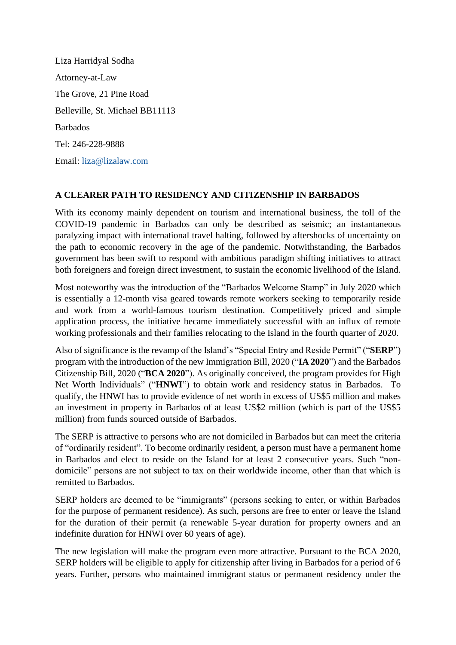Liza Harridyal Sodha Attorney-at-Law The Grove, 21 Pine Road Belleville, St. Michael BB11113 Barbados Tel: 246-228-9888 Email: [liza@lizalaw.com](mailto:liza@lizalaw.com)

## **A CLEARER PATH TO RESIDENCY AND CITIZENSHIP IN BARBADOS**

With its economy mainly dependent on tourism and international business, the toll of the COVID-19 pandemic in Barbados can only be described as seismic; an instantaneous paralyzing impact with international travel halting, followed by aftershocks of uncertainty on the path to economic recovery in the age of the pandemic. Notwithstanding, the Barbados government has been swift to respond with ambitious paradigm shifting initiatives to attract both foreigners and foreign direct investment, to sustain the economic livelihood of the Island.

Most noteworthy was the introduction of the "Barbados Welcome Stamp" in July 2020 which is essentially a 12-month visa geared towards remote workers seeking to temporarily reside and work from a world-famous tourism destination. Competitively priced and simple application process, the initiative became immediately successful with an influx of remote working professionals and their families relocating to the Island in the fourth quarter of 2020.

Also of significance is the revamp of the Island's "Special Entry and Reside Permit" ("**SERP**") program with the introduction of the new Immigration Bill, 2020 ("**IA 2020**") and the Barbados Citizenship Bill, 2020 ("**BCA 2020**"). As originally conceived, the program provides for High Net Worth Individuals" ("**HNWI**") to obtain work and residency status in Barbados. To qualify, the HNWI has to provide evidence of net worth in excess of US\$5 million and makes an investment in property in Barbados of at least US\$2 million (which is part of the US\$5 million) from funds sourced outside of Barbados.

The SERP is attractive to persons who are not domiciled in Barbados but can meet the criteria of "ordinarily resident". To become ordinarily resident, a person must have a permanent home in Barbados and elect to reside on the Island for at least 2 consecutive years. Such "nondomicile" persons are not subject to tax on their worldwide income, other than that which is remitted to Barbados.

SERP holders are deemed to be "immigrants" (persons seeking to enter, or within Barbados for the purpose of permanent residence). As such, persons are free to enter or leave the Island for the duration of their permit (a renewable 5-year duration for property owners and an indefinite duration for HNWI over 60 years of age).

The new legislation will make the program even more attractive. Pursuant to the BCA 2020, SERP holders will be eligible to apply for citizenship after living in Barbados for a period of 6 years. Further, persons who maintained immigrant status or permanent residency under the